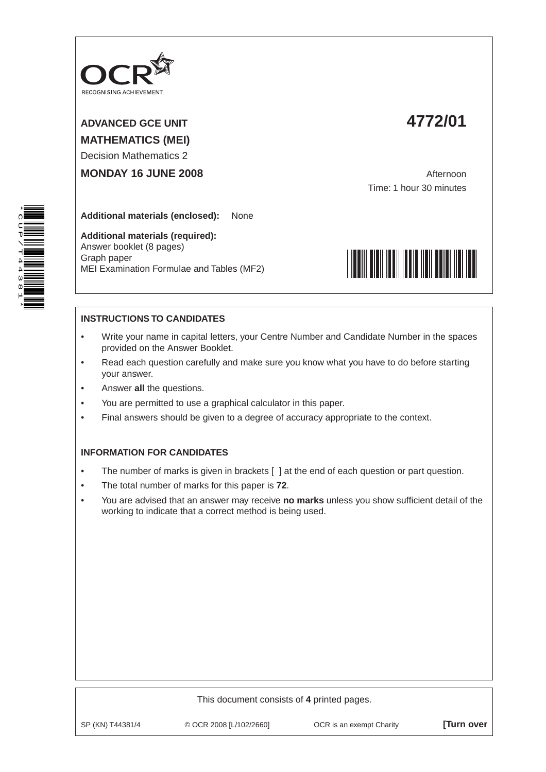

ADVANCED GCE UNIT **4772/01 MATHEMATICS (MEI)**

Decision Mathematics 2

**MONDAY 16 JUNE 2008 Afternoon** 

Time: 1 hour 30 minutes

**Additional materials (enclosed):** None

**Additional materials (required):** Answer booklet (8 pages) Graph paper MEI Examination Formulae and Tables (MF2)



## **INSTRUCTIONS TO CANDIDATES**

- Write your name in capital letters, your Centre Number and Candidate Number in the spaces provided on the Answer Booklet.
- Read each question carefully and make sure you know what you have to do before starting your answer.
- Answer **all** the questions.
- You are permitted to use a graphical calculator in this paper.
- Final answers should be given to a degree of accuracy appropriate to the context.

## **INFORMATION FOR CANDIDATES**

- The number of marks is given in brackets [ ] at the end of each question or part question.
- The total number of marks for this paper is **72**.
- You are advised that an answer may receive **no marks** unless you show sufficient detail of the working to indicate that a correct method is being used.



| This document consists of 4 printed pages. |                         |                          |                  |  |  |  |  |  |
|--------------------------------------------|-------------------------|--------------------------|------------------|--|--|--|--|--|
| SP (KN) T44381/4                           | © OCR 2008 [L/102/2660] | OCR is an exempt Charity | <b>Turn over</b> |  |  |  |  |  |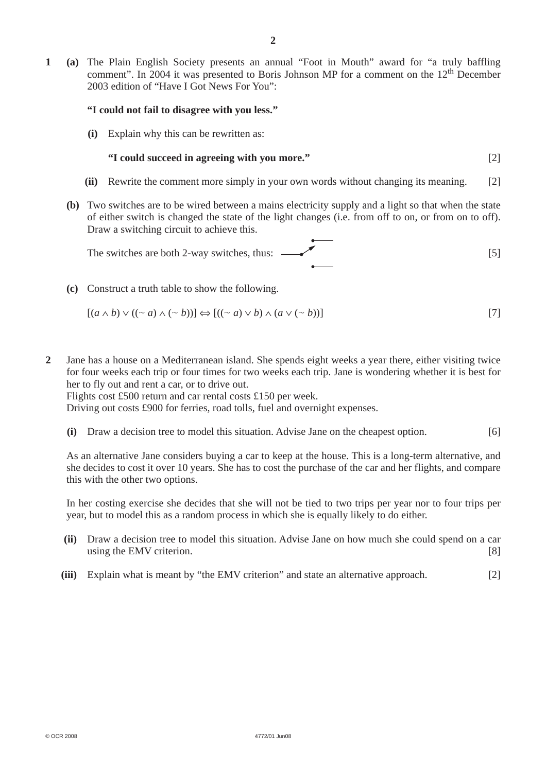**1 (a)** The Plain English Society presents an annual "Foot in Mouth" award for "a truly baffling comment". In 2004 it was presented to Boris Johnson MP for a comment on the 12<sup>th</sup> December 2003 edition of "Have I Got News For You":

## **"I could not fail to disagree with you less."**

 **(i)** Explain why this can be rewritten as:

## **"I could succeed in agreeing with you more."** [2]

- **(ii)** Rewrite the comment more simply in your own words without changing its meaning. [2]
- **(b)** Two switches are to be wired between a mains electricity supply and a light so that when the state of either switch is changed the state of the light changes (i.e. from off to on, or from on to off). Draw a switching circuit to achieve this.

The switches are both 2-way switches, thus: 
$$
\overbrace{\hspace{2.5cm}}^{[5]}
$$

 **(c)** Construct a truth table to show the following.

$$
[(a \wedge b) \vee ((\sim a) \wedge (\sim b))] \Leftrightarrow [((\sim a) \vee b) \wedge (a \vee (\sim b))]
$$
\n<sup>[7]</sup>

**2** Jane has a house on a Mediterranean island. She spends eight weeks a year there, either visiting twice for four weeks each trip or four times for two weeks each trip. Jane is wondering whether it is best for her to fly out and rent a car, or to drive out.

Flights cost £500 return and car rental costs £150 per week.

Driving out costs £900 for ferries, road tolls, fuel and overnight expenses.

 **(i)** Draw a decision tree to model this situation. Advise Jane on the cheapest option. [6]

 As an alternative Jane considers buying a car to keep at the house. This is a long-term alternative, and she decides to cost it over 10 years. She has to cost the purchase of the car and her flights, and compare this with the other two options.

 In her costing exercise she decides that she will not be tied to two trips per year nor to four trips per year, but to model this as a random process in which she is equally likely to do either.

- **(ii)** Draw a decision tree to model this situation. Advise Jane on how much she could spend on a car using the EMV criterion. [8]
- **(iii)** Explain what is meant by "the EMV criterion" and state an alternative approach. [2]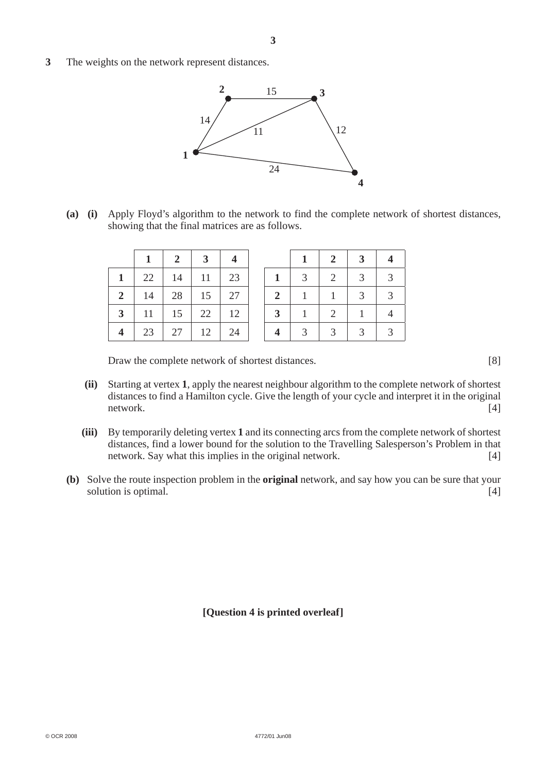**3** The weights on the network represent distances.



 **(a) (i)** Apply Floyd's algorithm to the network to find the complete network of shortest distances, showing that the final matrices are as follows.

|   |    |                   | $2 \mid 3$          | $\overline{\mathbf{4}}$ |                |             | $2 \mid$    | $\mathbf{3}$                   |               |
|---|----|-------------------|---------------------|-------------------------|----------------|-------------|-------------|--------------------------------|---------------|
|   |    | $22 \mid 14 \mid$ | $11 \t 23$          |                         | 1 <sup>1</sup> | $3-1$       | 2           | $\overline{3}$<br>$\mathbf{I}$ | $\mathcal{R}$ |
| 2 |    |                   | $14$   28   15   27 |                         | $2 \perp$      | $-1$        | $1 \mid$    | 3 <sup>1</sup>                 |               |
| 3 |    |                   | $11$   15   22   12 |                         | 3 <sup>1</sup> | $1 \quad$   | 2           | $\mathbf{1}$                   |               |
|   | 23 | 27                | $12 \mid$           | 24                      |                | $3^{\circ}$ | $3^{\circ}$ | $\overline{3}$                 |               |

Draw the complete network of shortest distances. [8]

- **(ii)** Starting at vertex **1**, apply the nearest neighbour algorithm to the complete network of shortest distances to find a Hamilton cycle. Give the length of your cycle and interpret it in the original network. [4]
- **(iii)** By temporarily deleting vertex **1** and its connecting arcs from the complete network of shortest distances, find a lower bound for the solution to the Travelling Salesperson's Problem in that network. Say what this implies in the original network. [4]
- **(b)** Solve the route inspection problem in the **original** network, and say how you can be sure that your solution is optimal. [4]

**[Question 4 is printed overleaf]**